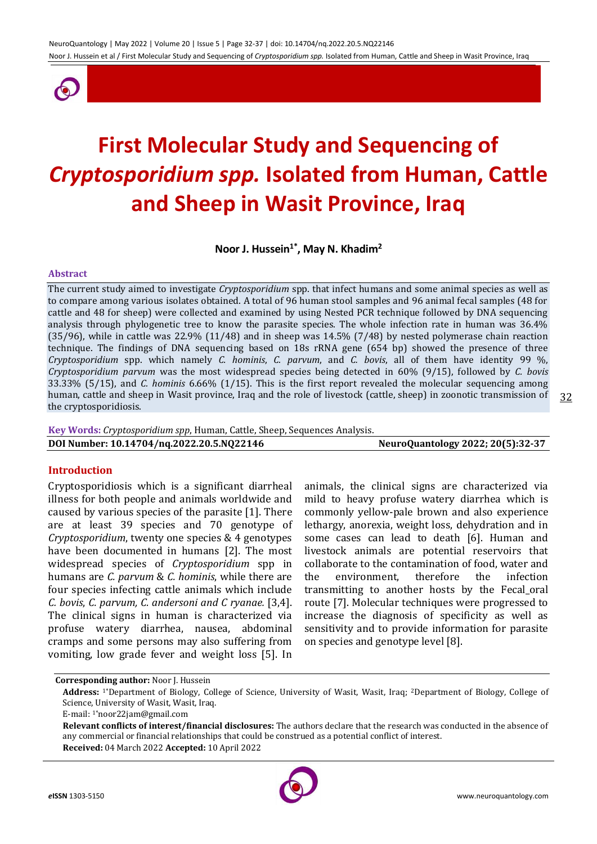

# **First Molecular Study and Sequencing of**  *Cryptosporidium spp.* **Isolated from Human, Cattle and Sheep in Wasit Province, Iraq**

**Noor J. Hussein1\*, May N. Khadim<sup>2</sup>**

#### **Abstract**

The current study aimed to investigate *Cryptosporidium* spp. that infect humans and some animal species as well as to compare among various isolates obtained. A total of 96 human stool samples and 96 animal fecal samples (48 for cattle and 48 for sheep) were collected and examined by using Nested PCR technique followed by DNA sequencing analysis through phylogenetic tree to know the parasite species. The whole infection rate in human was 36.4% (35/96), while in cattle was 22.9% (11/48) and in sheep was 14.5% (7/48) by nested polymerase chain reaction technique. The findings of DNA sequencing based on 18s rRNA gene (654 bp) showed the presence of three *Cryptosporidium* spp. which namely *C. hominis*, *C. parvum*, and *C. bovis*, all of them have identity 99 %, *Cryptosporidium parvum* was the most widespread species being detected in 60% (9/15), followed by *C. bovis* 33.33% (5/15), and *C. hominis* 6.66% (1/15). This is the first report revealed the molecular sequencing among human, cattle and sheep in Wasit province, Iraq and the role of livestock (cattle, sheep) in zoonotic transmission of the cryptosporidiosis.

**Key Words:** *Cryptosporidium spp*, Human, Cattle, Sheep, Sequences Analysis. **DOI Number: 10.14704/nq.2022.20.5.NQ22146 NeuroQuantology 2022; 20(5):32-37**

### **Introduction**

Cryptosporidiosis which is a significant diarrheal illness for both people and animals worldwide and caused by various species of the parasite [1]. There are at least 39 species and 70 genotype of *Cryptosporidium*, twenty one species & 4 genotypes have been documented in humans [2]. The most widespread species of *Cryptosporidium* spp in humans are *C. parvum* & *C. hominis*, while there are four species infecting cattle animals which include *C. bovis*, *C. parvum, C. andersoni and C ryanae.* [3,4]. The clinical signs in human is characterized via profuse watery diarrhea, nausea, abdominal cramps and some persons may also suffering from vomiting, low grade fever and weight loss [5]. In

animals, the clinical signs are characterized via mild to heavy profuse watery diarrhea which is commonly yellow-pale brown and also experience lethargy, anorexia, weight loss, dehydration and in some cases can lead to death [6]. Human and livestock animals are potential reservoirs that collaborate to the contamination of food, water and the environment, therefore the infection transmitting to another hosts by the Fecal\_oral route [7]. Molecular techniques were progressed to increase the diagnosis of specificity as well as sensitivity and to provide information for parasite on species and genotype level [8].

**Corresponding author:** Noor J. Hussein



**Address:** 1\*Department of Biology, College of Science, University of Wasit, Wasit, Iraq; 2Department of Biology, College of Science, University of Wasit, Wasit, Iraq.

E-mail: 1\*noor22jam@gmail.com

**Relevant conflicts of interest/financial disclosures:** The authors declare that the research was conducted in the absence of any commercial or financial relationships that could be construed as a potential conflict of interest. **Received:** 04 March 2022 **Accepted:** 10 April 2022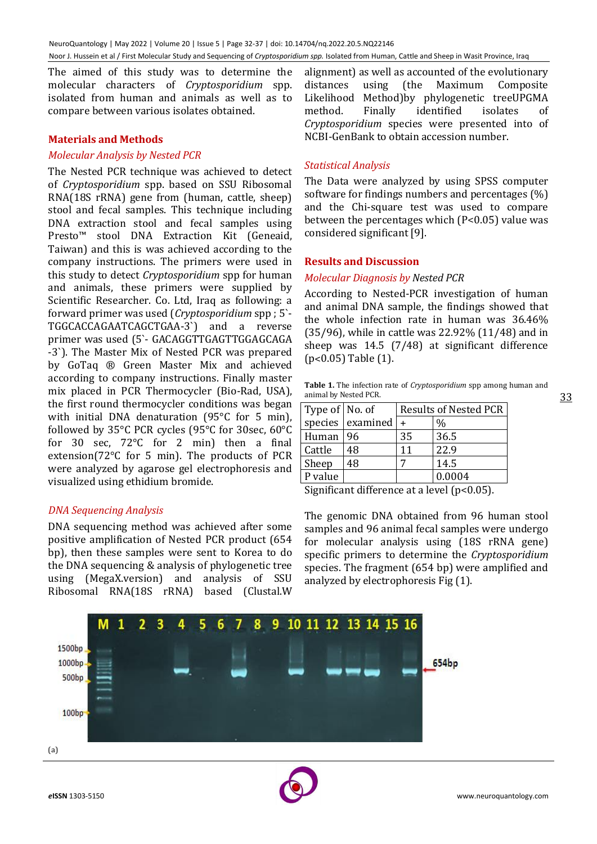The aimed of this study was to determine the molecular characters of *Cryptosporidium* spp. isolated from human and animals as well as to compare between various isolates obtained.

#### **Materials and Methods**

#### *Molecular Analysis by Nested PCR*

The Nested PCR technique was achieved to detect of *Cryptosporidium* spp. based on SSU Ribosomal RNA(18S rRNA) gene from (human, cattle, sheep) stool and fecal samples. This technique including DNA extraction stool and fecal samples using Presto™ stool DNA Extraction Kit (Geneaid, Taiwan) and this is was achieved according to the company instructions. The primers were used in this study to detect *Cryptosporidium* spp for human and animals, these primers were supplied by Scientific Researcher. Co. Ltd, Iraq as following: a forward primer was used (*Cryptosporidium* spp ; 5`- TGGCACCAGAATCAGCTGAA-3`) and a reverse primer was used (5`- GACAGGTTGAGTTGGAGCAGA -3`). The Master Mix of Nested PCR was prepared by GoTaq ® Green Master Mix and achieved according to company instructions. Finally master mix placed in PCR Thermocycler (Bio-Rad, USA), the first round thermocycler conditions was began with initial DNA denaturation (95°C for 5 min), followed by 35°C PCR cycles (95°C for 30sec, 60°C for 30 sec, 72°C for 2 min) then a final extension(72°C for 5 min). The products of PCR were analyzed by agarose gel electrophoresis and visualized using ethidium bromide.

### *DNA Sequencing Analysis*

DNA sequencing method was achieved after some positive amplification of Nested PCR product (654 bp), then these samples were sent to Korea to do the DNA sequencing & analysis of phylogenetic tree using (MegaX.version) and analysis of SSU Ribosomal RNA(18S rRNA) based (Clustal.W

alignment) as well as accounted of the evolutionary distances using (the Maximum Composite Likelihood Method)by phylogenetic treeUPGMA method. Finally identified isolates of *Cryptosporidium* species were presented into of NCBI-GenBank to obtain accession number.

#### *Statistical Analysis*

The Data were analyzed by using SPSS computer software for findings numbers and percentages (%) and the Chi-square test was used to compare between the percentages which (P<0.05) value was considered significant [9].

#### **Results and Discussion**

#### *Molecular Diagnosis by Nested PCR*

According to Nested-PCR investigation of human and animal DNA sample, the findings showed that the whole infection rate in human was 36.46% (35/96), while in cattle was 22.92% (11/48) and in sheep was 14.5 (7/48) at significant difference (p˂0.05) Table (1).

|                       | <b>Table 1.</b> The infection rate of <i>Cryptosporidium</i> spp among human and |  |  |
|-----------------------|----------------------------------------------------------------------------------|--|--|
| animal by Nested PCR. |                                                                                  |  |  |

| Type of   No. of |                    |    | <b>Results of Nested PCR</b> |
|------------------|--------------------|----|------------------------------|
|                  | species   examined |    | %                            |
| Human   96       |                    | 35 | 36.5                         |
| Cattle           | 48                 | 11 | 22.9                         |
| Sheep            | 48                 |    | 14.5                         |
| P value          |                    |    | 0.0004                       |

Significant difference at a level (p<0.05).

The genomic DNA obtained from 96 human stool samples and 96 animal fecal samples were undergo for molecular analysis using (18S rRNA gene) specific primers to determine the *Cryptosporidium* species. The fragment (654 bp) were amplified and analyzed by electrophoresis Fig (1).

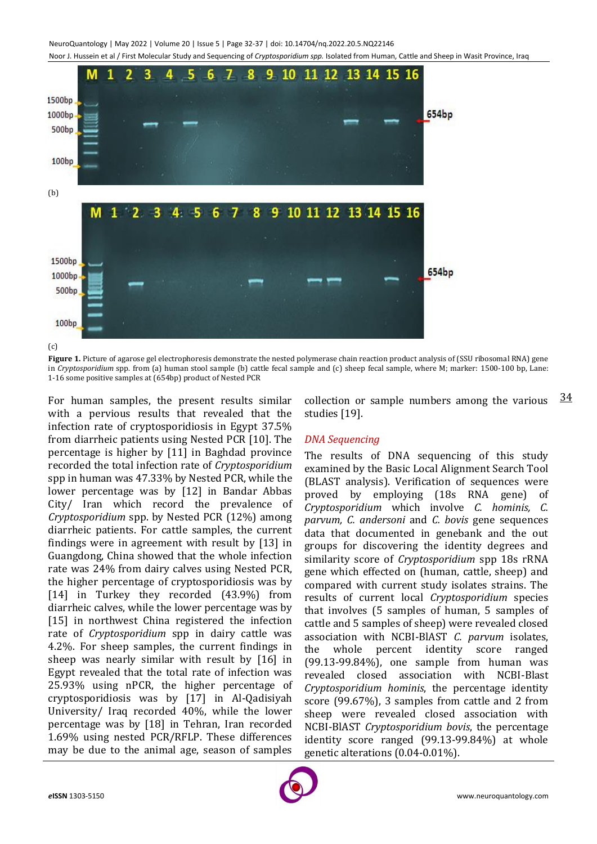NeuroQuantology | May 2022 | Volume 20 | Issue 5 | Page 32-37 | doi: 10.14704/nq.2022.20.5.NQ22146 Noor J. Hussein et al / First Molecular Study and Sequencing of *Cryptosporidium spp.* Isolated from Human, Cattle and Sheep in Wasit Province, Iraq



(c)

Figure 1. Picture of agarose gel electrophoresis demonstrate the nested polymerase chain reaction product analysis of (SSU ribosomal RNA) gene in *Cryptosporidium* spp. from (a) human stool sample (b) cattle fecal sample and (c) sheep fecal sample, where M; marker: 1500-100 bp, Lane: 1-16 some positive samples at (654bp) product of Nested PCR

For human samples, the present results similar with a pervious results that revealed that the infection rate of cryptosporidiosis in Egypt 37.5% from diarrheic patients using Nested PCR [10]. The percentage is higher by [11] in Baghdad province recorded the total infection rate of *Cryptosporidium* spp in human was 47.33% by Nested PCR, while the lower percentage was by [12] in Bandar Abbas City/ Iran which record the prevalence of *Cryptosporidium* spp. by Nested PCR (12%) among diarrheic patients. For cattle samples, the current findings were in agreement with result by [13] in Guangdong, China showed that the whole infection rate was 24% from dairy calves using Nested PCR, the higher percentage of cryptosporidiosis was by [14] in Turkey they recorded (43.9%) from diarrheic calves, while the lower percentage was by [15] in northwest China registered the infection rate of *Cryptosporidium* spp in dairy cattle was 4.2%. For sheep samples, the current findings in sheep was nearly similar with result by [16] in Egypt revealed that the total rate of infection was 25.93% using nPCR, the higher percentage of cryptosporidiosis was by [17] in Al-Qadisiyah University/ Iraq recorded 40%, while the lower percentage was by [18] in Tehran, Iran recorded 1.69% using nested PCR/RFLP. These differences may be due to the animal age, season of samples

34 collection or sample numbers among the various studies [19].

## *DNA Sequencing*

The results of DNA sequencing of this study examined by the Basic Local Alignment Search Tool (BLAST analysis). Verification of sequences were proved by employing (18s RNA gene) of *Cryptosporidium* which involve *C. hominis, C. parvum, C. andersoni* and *C. bovis* gene sequences data that documented in genebank and the out groups for discovering the identity degrees and similarity score of *Cryptosporidium* spp 18s rRNA gene which effected on (human, cattle, sheep) and compared with current study isolates strains. The results of current local *Cryptosporidium* species that involves (5 samples of human, 5 samples of cattle and 5 samples of sheep) were revealed closed association with NCBI-BlAST *C. parvum* isolates, the whole percent identity score ranged (99.13-99.84%), one sample from human was revealed closed association with NCBI-Blast *Cryptosporidium hominis*, the percentage identity score (99.67%), 3 samples from cattle and 2 from sheep were revealed closed association with NCBI-BlAST *Cryptosporidium bovis*, the percentage identity score ranged (99.13-99.84%) at whole genetic alterations (0.04-0.01%).

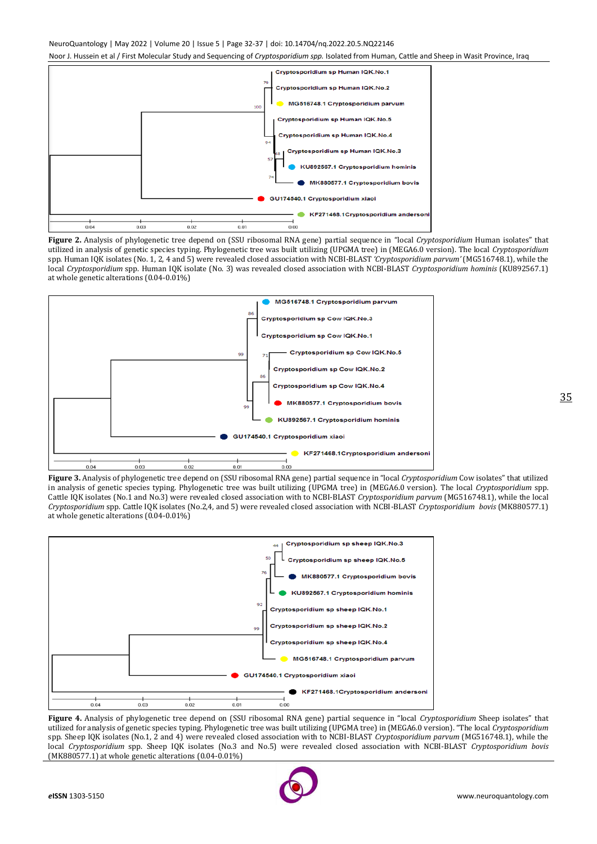#### NeuroQuantology | May 2022 | Volume 20 | Issue 5 | Page 32-37 | doi: 10.14704/nq.2022.20.5.NQ22146

Noor J. Hussein et al / First Molecular Study and Sequencing of *Cryptosporidium spp.* Isolated from Human, Cattle and Sheep in Wasit Province, Iraq



**Figure 2.** Analysis of phylogenetic tree depend on (SSU ribosomal RNA gene) partial sequence in "local *Cryptosporidium* Human isolates" that utilized in analysis of genetic species typing. Phylogenetic tree was built utilizing (UPGMA tree) in (MEGA6.0 version). The local *Cryptosporidium* spp. Human IQK isolates (No. 1, 2, 4 and 5) were revealed closed association with NCBI-BLAST *'Cryptosporidium parvum'* (MG516748.1), while the local *Cryptosporidium* spp. Human IQK isolate (No. 3) was revealed closed association with NCBI-BLAST *Cryptosporidium hominis* (KU892567.1) at whole genetic alterations (0.04-0.01%)



**Figure 3.** Analysis of phylogenetic tree depend on (SSU ribosomal RNA gene) partial sequence in "local *Cryptosporidium* Cow isolates" that utilized in analysis of genetic species typing. Phylogenetic tree was built utilizing (UPGMA tree) in (MEGA6.0 version). The local *Cryptosporidium* spp. Cattle IQK isolates (No.1 and No.3) were revealed closed association with to NCBI-BLAST *Cryptosporidium parvum* (MG516748.1), while the local *Cryptosporidium* spp. Cattle IQK isolates (No.2,4, and 5) were revealed closed association with NCBI-BLAST *Cryptosporidium bovis* (MK880577.1) at whole genetic alterations (0.04-0.01%)



**Figure 4.** Analysis of phylogenetic tree depend on (SSU ribosomal RNA gene) partial sequence in "local *Cryptosporidium* Sheep isolates" that utilized for analysis of genetic species typing. Phylogenetic tree was built utilizing (UPGMA tree) in (MEGA6.0 version). "The local *Cryptosporidium* spp. Sheep IQK isolates (No.1, 2 and 4) were revealed closed association with to NCBI-BLAST *Cryptosporidium parvum* (MG516748.1), while the local *Cryptosporidium* spp. Sheep IQK isolates (No.3 and No.5) were revealed closed association with NCBI-BLAST *Cryptosporidium bovis* (MK880577.1) at whole genetic alterations (0.04-0.01%)

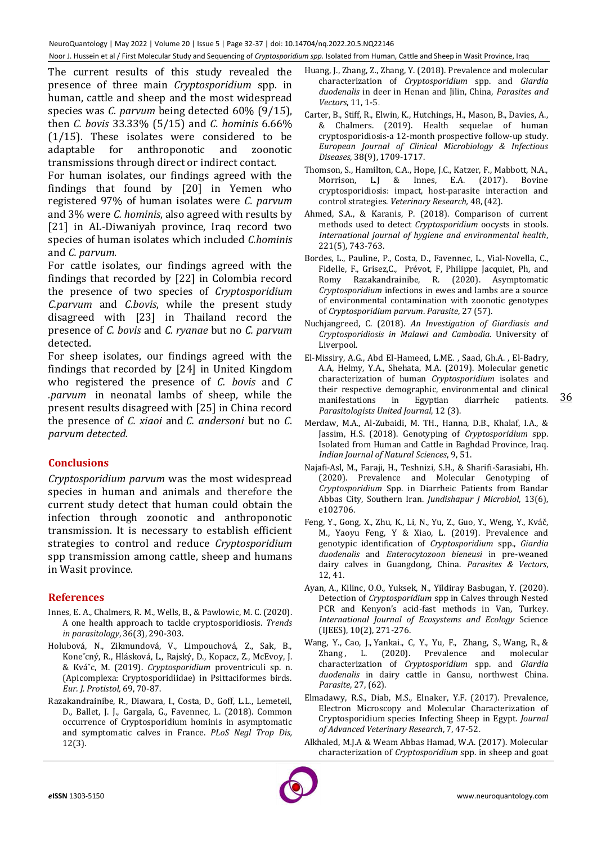The current results of this study revealed the presence of three main *Cryptosporidium* spp. in human, cattle and sheep and the most widespread species was *C. parvum* being detected 60% (9/15), then *C. bovis* 33.33% (5/15) and *C. hominis* 6.66% (1/15). These isolates were considered to be adaptable for anthroponotic and zoonotic transmissions through direct or indirect contact.

For human isolates, our findings agreed with the findings that found by [20] in Yemen who registered 97% of human isolates were *C. parvum* and 3% were *C. hominis*, also agreed with results by [21] in AL-Diwaniyah province, Iraq record two species of human isolates which included *C.hominis* and *C. parvum*.

For cattle isolates, our findings agreed with the findings that recorded by [22] in Colombia record the presence of two species of *Cryptosporidium C.parvum* and *C.bovis*, while the present study disagreed with [23] in Thailand record the presence of *C. bovis* and *C. ryanae* but no *C. parvum*  detected.

For sheep isolates, our findings agreed with the findings that recorded by [24] in United Kingdom who registered the presence of *C. bovis* and *C .parvum* in neonatal lambs of sheep*,* while the present results disagreed with [25] in China record the presence of *C. xiaoi* and *C. andersoni* but no *C. parvum detected.*

## **Conclusions**

*Cryptosporidium parvum* was the most widespread species in human and animals and therefore the current study detect that human could obtain the infection through zoonotic and anthroponotic transmission. It is necessary to establish efficient strategies to control and reduce *Cryptosporidium* spp transmission among cattle, sheep and humans in Wasit province.

## **References**

- Innes, E. A., Chalmers, R. M., Wells, B., & Pawlowic, M. C. (2020). A one health approach to tackle cryptosporidiosis. *Trends in parasitology*, 36(3), 290-303.
- Holubová, N., Zikmundová, V., Limpouchová, Z., Sak, B., Koneˇcný, R., Hlásková, L., Rajský, D., Kopacz, Z., McEvoy, J. & Kváˇc, M. (2019). *Cryptosporidium* proventriculi sp. n. (Apicomplexa: Cryptosporidiidae) in Psittaciformes birds. *Eur. J. Protistol,* 69, 70-87.
- Razakandrainibe, R., Diawara, I., Costa, D., Goff, L.L., Lemeteil, D., Ballet, J. J., Gargala, G., Favennec, L. (2018). Common occurrence of Cryptosporidium hominis in asymptomatic and symptomatic calves in France. *PLoS Negl Trop Dis,*  12(3).
- Huang, J., Zhang, Z., Zhang, Y. (2018). Prevalence and molecular characterization of *Cryptosporidium* spp. and *Giardia duodenalis* in deer in Henan and Jilin, China, *Parasites and Vectors*, 11, 1-5.
- Carter, B., Stiff, R., Elwin, K., Hutchings, H., Mason, B., Davies, A., & Chalmers. (2019). Health sequelae of human cryptosporidiosis-a 12-month prospective follow-up study. *European Journal of Clinical Microbiology & Infectious Diseases*, 38(9), 1709-1717.
- Thomson, S., Hamilton, C.A., Hope, J.C., Katzer, F., Mabbott, N.A., Morrison, L.J & Innes, E.A. (2017). Bovine cryptosporidiosis: impact, host-parasite interaction and control strategies. *Veterinary Research,* 48, (42).
- Ahmed, S.A., & Karanis, P. (2018). Comparison of current methods used to detect *Cryptosporidium* oocysts in stools. *International journal of hygiene and environmental health*, 221(5), 743-763.
- Bordes, L., Pauline, P., Costa, D., Favennec, L., Vial-Novella, C., Fidelle, F., Grisez,C., Prévot, F, Philippe Jacquiet, Ph, and Romy Razakandrainibe, R. (2020). Asymptomatic *Cryptosporidium* infections in ewes and lambs are a source of environmental contamination with zoonotic genotypes of *Cryptosporidium parvum*. *Parasite*, 27 (57).
- Nuchjangreed, C. (2018). *An Investigation of Giardiasis and Cryptosporidiosis in Malawi and Cambodia.* University of Liverpool.
- El-Missiry, A.G., Abd El-Hameed, L.ME. , Saad, Gh.A. , El-Badry, A.A, Helmy, Y.A., Shehata, M.A. (2019). Molecular genetic characterization of human *Cryptosporidium* isolates and their respective demographic, environmental and clinical manifestations in Egyptian diarrheic patients*. Parasitologists United Journal*, 12 (3).
- Merdaw, M.A., Al-Zubaidi, M. TH., Hanna, D.B., Khalaf, I.A., & Jassim, H.S. (2018). Genotyping of *Cryptosporidium* spp. Isolated from Human and Cattle in Baghdad Province, Iraq. *Indian Journal of Natural Sciences*, 9, 51.
- Najafi-Asl, M., Faraji, H., Teshnizi, S.H., & Sharifi-Sarasiabi, Hh. (2020). Prevalence and Molecular Genotyping of *Cryptosporidium* Spp. in Diarrheic Patients from Bandar Abbas City, Southern Iran. *Jundishapur J Microbiol*, 13(6), e102706.
- Feng, Y., Gong, X., Zhu, K., Li, N., Yu, Z., Guo, Y., Weng, Y., Kváč, M., Yaoyu Feng, Y & Xiao, L. (2019). Prevalence and genotypic identification of *Cryptosporidium* spp., *Giardia duodenalis* and *Enterocytozoon bieneusi* in pre-weaned dairy calves in Guangdong, China. *Parasites & Vectors*, 12, 41.
- Ayan, A., Kilinc, O.O., Yuksek, N., Yildiray Basbugan, Y. (2020). Detection of *Cryptosporidium* spp in Calves through Nested PCR and Kenyon's acid-fast methods in Van, Turkey. *International Journal of Ecosystems and Ecology* Science (IJEES), 10(2), 271-276.
- Wang, Y., Cao, J., Yankai., C, Y., Yu, F., Zhang, S., Wang, R., & Zhang, L. (2020). Prevalence and molecular characterization of *Cryptosporidium* spp. and *Giardia duodenalis* in dairy cattle in Gansu, northwest China. *Parasite*, 27, (62).
- Elmadawy, R.S., Diab, M.S., Elnaker, Y.F. (2017). Prevalence, Electron Microscopy and Molecular Characterization of Cryptosporidium species Infecting Sheep in Egypt. *Journal of Advanced Veterinary Research*, 7, 47-52.
- Alkhaled, M.J.A & Weam Abbas Hamad, W.A. (2017). Molecular characterization of *Cryptosporidium* spp. in sheep and goat